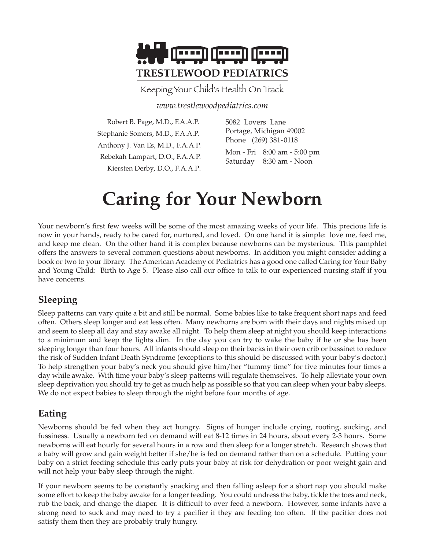

Keeping Your Child's Health On Track

*www.trestlewoodpediatrics.com*

| Robert B. Page, M.D., F.A.A.P.    | 5082 Lovers Lane                                       |
|-----------------------------------|--------------------------------------------------------|
| Stephanie Somers, M.D., F.A.A.P.  | Portage, Michigan 49002                                |
| Anthony J. Van Es, M.D., F.A.A.P. | Phone (269) 381-0118                                   |
| Rebekah Lampart, D.O., F.A.A.P.   | Mon - Fri 8:00 am - 5:00 pm<br>Saturday 8:30 am - Noon |
| Kiersten Derby, D.O., F.A.A.P.    |                                                        |

# **Caring for Your Newborn**

Your newborn's first few weeks will be some of the most amazing weeks of your life. This precious life is now in your hands, ready to be cared for, nurtured, and loved. On one hand it is simple: love me, feed me, and keep me clean. On the other hand it is complex because newborns can be mysterious. This pamphlet offers the answers to several common questions about newborns. In addition you might consider adding a book or two to your library. The American Academy of Pediatrics has a good one called Caring for Your Baby and Young Child: Birth to Age 5. Please also call our office to talk to our experienced nursing staff if you have concerns.

#### **Sleeping**

Sleep patterns can vary quite a bit and still be normal. Some babies like to take frequent short naps and feed often. Others sleep longer and eat less often. Many newborns are born with their days and nights mixed up and seem to sleep all day and stay awake all night. To help them sleep at night you should keep interactions to a minimum and keep the lights dim. In the day you can try to wake the baby if he or she has been sleeping longer than four hours. All infants should sleep on their backs in their own crib or bassinet to reduce the risk of Sudden Infant Death Syndrome (exceptions to this should be discussed with your baby's doctor.) To help strengthen your baby's neck you should give him/her "tummy time" for five minutes four times a day while awake. With time your baby's sleep patterns will regulate themselves. To help alleviate your own sleep deprivation you should try to get as much help as possible so that you can sleep when your baby sleeps. We do not expect babies to sleep through the night before four months of age.

#### **Eating**

Newborns should be fed when they act hungry. Signs of hunger include crying, rooting, sucking, and fussiness. Usually a newborn fed on demand will eat 8-12 times in 24 hours, about every 2-3 hours. Some newborns will eat hourly for several hours in a row and then sleep for a longer stretch. Research shows that a baby will grow and gain weight better if she/he is fed on demand rather than on a schedule. Putting your baby on a strict feeding schedule this early puts your baby at risk for dehydration or poor weight gain and will not help your baby sleep through the night.

If your newborn seems to be constantly snacking and then falling asleep for a short nap you should make some effort to keep the baby awake for a longer feeding. You could undress the baby, tickle the toes and neck, rub the back, and change the diaper. It is difficult to over feed a newborn. However, some infants have a strong need to suck and may need to try a pacifier if they are feeding too often. If the pacifier does not satisfy them then they are probably truly hungry.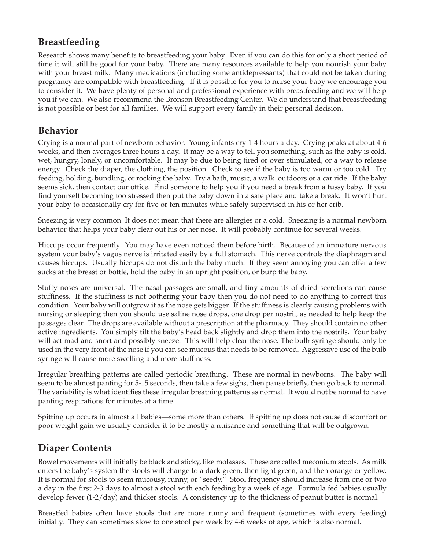#### **Breastfeeding**

Research shows many benefits to breastfeeding your baby. Even if you can do this for only a short period of time it will still be good for your baby. There are many resources available to help you nourish your baby with your breast milk. Many medications (including some antidepressants) that could not be taken during pregnancy are compatible with breastfeeding. If it is possible for you to nurse your baby we encourage you to consider it. We have plenty of personal and professional experience with breastfeeding and we will help you if we can. We also recommend the Bronson Breastfeeding Center. We do understand that breastfeeding is not possible or best for all families. We will support every family in their personal decision.

# **Behavior**

Crying is a normal part of newborn behavior. Young infants cry 1-4 hours a day. Crying peaks at about 4-6 weeks, and then averages three hours a day. It may be a way to tell you something, such as the baby is cold, wet, hungry, lonely, or uncomfortable. It may be due to being tired or over stimulated, or a way to release energy. Check the diaper, the clothing, the position. Check to see if the baby is too warm or too cold. Try feeding, holding, bundling, or rocking the baby. Try a bath, music, a walk outdoors or a car ride. If the baby seems sick, then contact our office. Find someone to help you if you need a break from a fussy baby. If you find yourself becoming too stressed then put the baby down in a safe place and take a break. It won't hurt your baby to occasionally cry for five or ten minutes while safely supervised in his or her crib.

Sneezing is very common. It does not mean that there are allergies or a cold. Sneezing is a normal newborn behavior that helps your baby clear out his or her nose. It will probably continue for several weeks.

Hiccups occur frequently. You may have even noticed them before birth. Because of an immature nervous system your baby's vagus nerve is irritated easily by a full stomach. This nerve controls the diaphragm and causes hiccups. Usually hiccups do not disturb the baby much. If they seem annoying you can offer a few sucks at the breast or bottle, hold the baby in an upright position, or burp the baby.

Stuffy noses are universal. The nasal passages are small, and tiny amounts of dried secretions can cause stuffiness. If the stuffiness is not bothering your baby then you do not need to do anything to correct this condition. Your baby will outgrow it as the nose gets bigger. If the stuffiness is clearly causing problems with nursing or sleeping then you should use saline nose drops, one drop per nostril, as needed to help keep the passages clear. The drops are available without a prescription at the pharmacy. They should contain no other active ingredients. You simply tilt the baby's head back slightly and drop them into the nostrils. Your baby will act mad and snort and possibly sneeze. This will help clear the nose. The bulb syringe should only be used in the very front of the nose if you can see mucous that needs to be removed. Aggressive use of the bulb syringe will cause more swelling and more stuffiness.

Irregular breathing patterns are called periodic breathing. These are normal in newborns. The baby will seem to be almost panting for 5-15 seconds, then take a few sighs, then pause briefly, then go back to normal. The variability is what identifies these irregular breathing patterns as normal. It would not be normal to have panting respirations for minutes at a time.

Spitting up occurs in almost all babies—some more than others. If spitting up does not cause discomfort or poor weight gain we usually consider it to be mostly a nuisance and something that will be outgrown.

# **Diaper Contents**

Bowel movements will initially be black and sticky, like molasses. These are called meconium stools. As milk enters the baby's system the stools will change to a dark green, then light green, and then orange or yellow. It is normal for stools to seem mucousy, runny, or "seedy." Stool frequency should increase from one or two a day in the first 2-3 days to almost a stool with each feeding by a week of age. Formula fed babies usually develop fewer (1-2/day) and thicker stools. A consistency up to the thickness of peanut butter is normal.

Breastfed babies often have stools that are more runny and frequent (sometimes with every feeding) initially. They can sometimes slow to one stool per week by 4-6 weeks of age, which is also normal.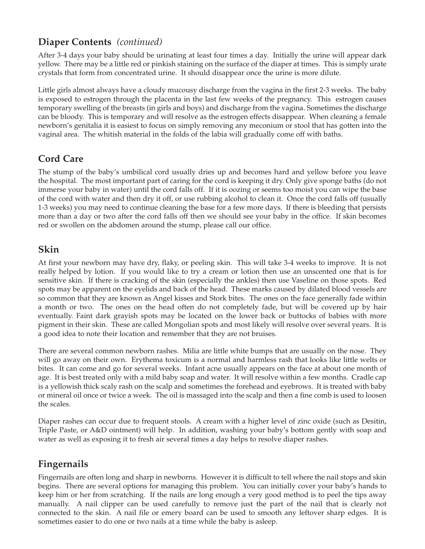### **Diaper Contents** *(continued)*

After 3-4 days your baby should be urinating at least four times a day. Initially the urine will appear dark yellow. There may be a little red or pinkish staining on the surface of the diaper at times. This is simply urate crystals that form from concentrated urine. It should disappear once the urine is more dilute.

Little girls almost always have a cloudy mucousy discharge from the vagina in the first 2-3 weeks. The baby is exposed to estrogen through the placenta in the last few weeks of the pregnancy. This estrogen causes temporary swelling of the breasts (in girls and boys) and discharge from the vagina. Sometimes the discharge can be bloody. This is temporary and will resolve as the estrogen effects disappear. When cleaning a female newborn's genitalia it is easiest to focus on simply removing any meconium or stool that has gotten into the vaginal area. The whitish material in the folds of the labia will gradually come off with baths.

# **Cord Care**

The stump of the baby's umbilical cord usually dries up and becomes hard and yellow before you leave the hospital. The most important part of caring for the cord is keeping it dry. Only give sponge baths (do not immerse your baby in water) until the cord falls off. If it is oozing or seems too moist you can wipe the base of the cord with water and then dry it off, or use rubbing alcohol to clean it. Once the cord falls off (usually 1-3 weeks) you may need to continue cleaning the base for a few more days. If there is bleeding that persists more than a day or two after the cord falls off then we should see your baby in the office. If skin becomes red or swollen on the abdomen around the stump, please call our office.

#### **Skin**

At first your newborn may have dry, flaky, or peeling skin. This will take 3-4 weeks to improve. It is not really helped by lotion. If you would like to try a cream or lotion then use an unscented one that is for sensitive skin. If there is cracking of the skin (especially the ankles) then use Vaseline on those spots. Red spots may be apparent on the eyelids and back of the head. These marks caused by dilated blood vessels are so common that they are known as Angel kisses and Stork bites. The ones on the face generally fade within a month or two. The ones on the head often do not completely fade, but will be covered up by hair eventually. Faint dark grayish spots may be located on the lower back or buttocks of babies with more pigment in their skin. These are called Mongolian spots and most likely will resolve over several years. It is a good idea to note their location and remember that they are not bruises.

There are several common newborn rashes. Milia are little white bumps that are usually on the nose. They will go away on their own. Erythema toxicum is a normal and harmless rash that looks like little welts or bites. It can come and go for several weeks. Infant acne usually appears on the face at about one month of age. It is best treated only with a mild baby soap and water. It will resolve within a few months. Cradle cap is a yellowish thick scaly rash on the scalp and sometimes the forehead and eyebrows. It is treated with baby or mineral oil once or twice a week. The oil is massaged into the scalp and then a fine comb is used to loosen the scales.

Diaper rashes can occur due to frequent stools. A cream with a higher level of zinc oxide (such as Desitin, Triple Paste, or A&D ointment) will help. In addition, washing your baby's bottom gently with soap and water as well as exposing it to fresh air several times a day helps to resolve diaper rashes.

# **Fingernails**

Fingernails are often long and sharp in newborns. However it is difficult to tell where the nail stops and skin begins. There are several options for managing this problem. You can initially cover your baby's hands to keep him or her from scratching. If the nails are long enough a very good method is to peel the tips away manually. A nail clipper can be used carefully to remove just the part of the nail that is clearly not connected to the skin. A nail file or emery board can be used to smooth any leftover sharp edges. It is sometimes easier to do one or two nails at a time while the baby is asleep.